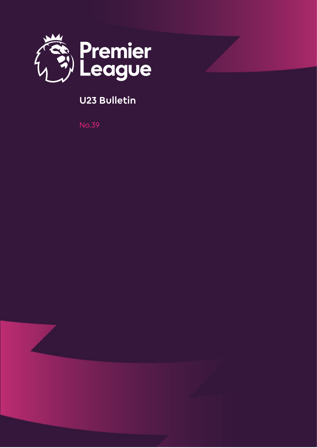

## **U23 Bulletin**

No.39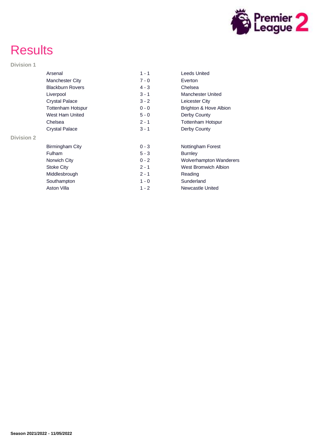

# **Results**

#### **Division 1**

|                   | Arsenal                  | $1 - 1$ | Leeds United                   |
|-------------------|--------------------------|---------|--------------------------------|
|                   | Manchester City          | $7 - 0$ | Everton                        |
|                   | <b>Blackburn Rovers</b>  | $4 - 3$ | Chelsea                        |
|                   | Liverpool                | $3 - 1$ | Manchester United              |
|                   | <b>Crystal Palace</b>    | $3 - 2$ | Leicester City                 |
|                   | <b>Tottenham Hotspur</b> | $0 - 0$ | Brighton & Hove Albion         |
|                   | West Ham United          | $5 - 0$ | Derby County                   |
|                   | Chelsea                  | $2 - 1$ | <b>Tottenham Hotspur</b>       |
|                   | <b>Crystal Palace</b>    | $3 - 1$ | Derby County                   |
| <b>Division 2</b> |                          |         |                                |
|                   | Birmingham City          | $0 - 3$ | Nottingham Forest              |
|                   | <b>Fulham</b>            | $5 - 3$ | <b>Burnley</b>                 |
|                   | Norwich City             | $0 - 2$ | <b>Wolverhampton Wanderers</b> |
|                   | <b>Stoke City</b>        | $2 - 1$ | <b>West Bromwich Albion</b>    |
|                   | Middlesbrough            | $2 - 1$ | Reading                        |
|                   | Southampton              | $1 - 0$ | Sunderland                     |
|                   | <b>Aston Villa</b>       | $1 - 2$ | Newcastle United               |
|                   |                          |         |                                |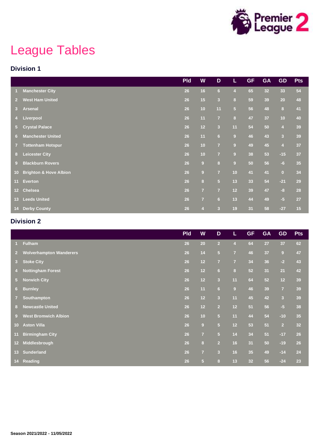

# League Tables

#### **Division 1**

|                 |                                   | <b>Pld</b> | W                | $\mathbf D$             | L              | <b>GF</b> | <b>GA</b>       | <b>GD</b>               | <b>Pts</b> |
|-----------------|-----------------------------------|------------|------------------|-------------------------|----------------|-----------|-----------------|-------------------------|------------|
|                 | <b>Manchester City</b>            | 26         | 16               | 6 <sup>1</sup>          | $\overline{4}$ | 65        | 32 <sub>2</sub> | 33                      | 54         |
| $\overline{2}$  | <b>West Ham United</b>            | 26         | 15               | $\overline{\mathbf{3}}$ | 8              | 59        | 39              | 20                      | 48         |
| 3 <sup>2</sup>  | <b>Arsenal</b>                    | 26         | 10               | 11                      | 5 <sup>1</sup> | 56        | 48              | 8                       | 41         |
| 4 <sup>1</sup>  | Liverpool                         | 26         | 11               | $\overline{7}$          | 8              | 47        | 37              | 10                      | 40         |
| 5 <sup>1</sup>  | <b>Crystal Palace</b>             | 26         | 12               | $\overline{3}$          | 11             | 54        | 50              | $\overline{\mathbf{4}}$ | 39         |
| 6 <sup>1</sup>  | <b>Manchester United</b>          | 26         | 11               | $6\phantom{a}$          | $\overline{9}$ | 46        | 43              | $\overline{\mathbf{3}}$ | 39         |
| $\overline{7}$  | <b>Tottenham Hotspur</b>          | 26         | 10               | $\overline{7}$          | $\overline{9}$ | 49        | 45              | $\overline{\mathbf{4}}$ | 37         |
| 8 <sup>1</sup>  | <b>Leicester City</b>             | 26         | 10               | $\overline{7}$          | $\overline{9}$ | 38        | 53              | $-15$                   | 37         |
| 9 <sup>°</sup>  | <b>Blackburn Rovers</b>           | 26         | $\boldsymbol{9}$ | $\bf{8}$                | $\overline{9}$ | 50        | 56              | $-6$                    | 35         |
| 10 <sub>1</sub> | <b>Brighton &amp; Hove Albion</b> | 26         | $\overline{9}$   | $\overline{7}$          | 10             | 41        | 41              | $\mathbf 0$             | 34         |
| 11 <sub>1</sub> | Everton                           | 26         | $\bf{8}$         | $\overline{\mathbf{5}}$ | 13             | 33        | 54              | $-21$                   | 29         |
| 12 <sup>2</sup> | <b>Chelsea</b>                    | 26         | $\overline{7}$   | $\overline{7}$          | 12             | 39        | 47              | $-8$                    | 28         |
| 13 <sup>2</sup> | <b>Leeds United</b>               | 26         | $\overline{7}$   | 6 <sup>1</sup>          | 13             | 44        | 49              | $-5$                    | 27         |
| 14 <sup>2</sup> | <b>Derby County</b>               | 26         | $\overline{4}$   | $\overline{\mathbf{3}}$ | 19             | 31        | 58              | $-27$                   | 15         |

#### **Division 2**

|                      |                                | <b>Pld</b> | W              | D                       | L                       | <b>GF</b> | <b>GA</b> | <b>GD</b>               | <b>Pts</b> |
|----------------------|--------------------------------|------------|----------------|-------------------------|-------------------------|-----------|-----------|-------------------------|------------|
| $\blacktriangleleft$ | <b>Fulham</b>                  | 26         | 20             | 2 <sup>1</sup>          | $\overline{4}$          | 64        | 27        | 37                      | 62         |
| $\overline{2}$       | <b>Wolverhampton Wanderers</b> | 26         | 14             | $\overline{5}$          | $\overline{7}$          | 46        | 37        | 9                       | 47         |
| 3 <sup>2</sup>       | <b>Stoke City</b>              | 26         | 12             | $\overline{7}$          | $\overline{7}$          | 34        | 36        | $-2$                    | 43         |
| $\overline{4}$       | <b>Nottingham Forest</b>       | 26         | 12             | 6 <sup>1</sup>          | $\overline{\mathbf{8}}$ | 52        | 31        | 21                      | 42         |
| 5 <sub>1</sub>       | <b>Norwich City</b>            | 26         | 12             | $\overline{\mathbf{3}}$ | 11                      | 64        | 52        | 12                      | 39         |
| 6 <sup>1</sup>       | <b>Burnley</b>                 | 26         | 11             | 6 <sup>1</sup>          | $\overline{9}$          | 46        | 39        | $\overline{7}$          | 39         |
| $\overline{7}$       | Southampton                    | 26         | 12             | $\overline{\mathbf{3}}$ | 11                      | 45        | 42        | $\overline{\mathbf{3}}$ | 39         |
| 8                    | <b>Newcastle United</b>        | 26         | 12             | $\overline{2}$          | 12                      | 51        | 56        | $-5$                    | 38         |
| $9^{\circ}$          | <b>West Bromwich Albion</b>    | 26         | 10             | 5 <sup>5</sup>          | 11                      | 44        | 54        | $-10$                   | 35         |
| 10 <sup>°</sup>      | <b>Aston Villa</b>             | 26         | $\overline{9}$ | 5 <sup>5</sup>          | 12                      | 53        | 51        | $\overline{2}$          | 32         |
| 11                   | <b>Birmingham City</b>         | 26         | $\overline{7}$ | 5 <sup>5</sup>          | 14                      | 34        | 51        | $-17$                   | 26         |
| $12-12$              | Middlesbrough                  | 26         | $\bf{8}$       | $\overline{2}$          | 16                      | 31        | 50        | $-19$                   | 26         |
| 13 <sup>°</sup>      | <b>Sunderland</b>              | 26         | $\overline{7}$ | $\overline{\mathbf{3}}$ | 16                      | 35        | 49        | $-14$                   | 24         |
|                      | 14 Reading                     | 26         | 5 <sup>5</sup> | 8                       | 13                      | 32        | 56        | $-24$                   | 23         |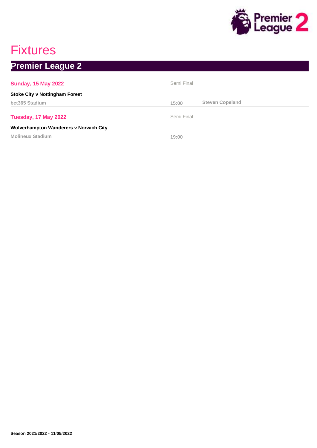

## Fixtures

## **Premier League 2**

| <b>Sunday, 15 May 2022</b>                    | Semi Final |                        |
|-----------------------------------------------|------------|------------------------|
| <b>Stoke City v Nottingham Forest</b>         |            |                        |
| bet365 Stadium                                | 15:00      | <b>Steven Copeland</b> |
| Tuesday, 17 May 2022                          | Semi Final |                        |
| <b>Wolverhampton Wanderers v Norwich City</b> |            |                        |
| <b>Molineux Stadium</b>                       | 19:00      |                        |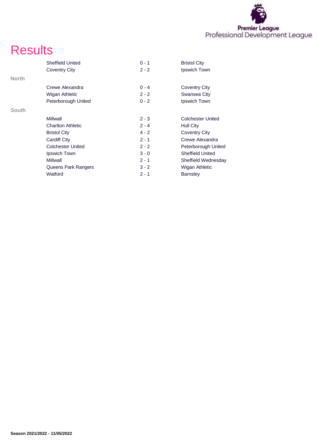

## **Results**

|              | <b>Sheffield United</b>  | $0 - 1$ | <b>Bristol City</b>      |
|--------------|--------------------------|---------|--------------------------|
|              | Coventry City            | $2 - 2$ | Ipswich Town             |
| <b>North</b> |                          |         |                          |
|              | Crewe Alexandra          | $0 - 4$ | Coventry City            |
|              | Wigan Athletic           | $2 - 2$ | Swansea City             |
|              | Peterborough United      | $0 - 2$ | Ipswich Town             |
| South        |                          |         |                          |
|              | Millwall                 | $2 - 3$ | <b>Colchester United</b> |
|              | <b>Charlton Athletic</b> | $2 - 4$ | Hull City                |
|              | <b>Bristol City</b>      | $4 - 2$ | Coventry City            |
|              | Cardiff City             | $2 - 1$ | Crewe Alexandra          |
|              | <b>Colchester United</b> | $2 - 2$ | Peterborough United      |
|              | Ipswich Town             | $3 - 0$ | <b>Sheffield United</b>  |
|              | Millwall                 | $2 - 1$ | Sheffield Wednesday      |
|              | Queens Park Rangers      | $3 - 2$ | Wigan Athletic           |
|              | Watford                  | $2 - 1$ | <b>Barnsley</b>          |
|              |                          |         |                          |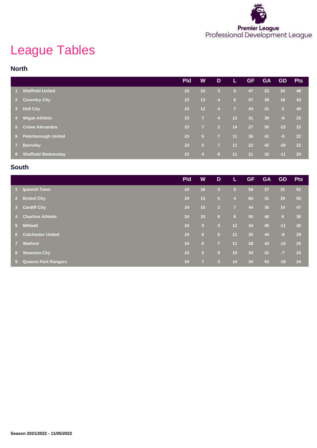

# League Tables

#### **North**

|                |                            | <b>Pld</b> | W              | D              | L              | <b>GF</b> | <b>GA</b>       | <b>GD</b>               | <b>Pts</b> |
|----------------|----------------------------|------------|----------------|----------------|----------------|-----------|-----------------|-------------------------|------------|
|                | <b>Sheffield United</b>    | 23         | 15             | 3              | $\sqrt{5}$     | 47        | 23              | 24                      | 48         |
| $2^{\circ}$    | <b>Coventry City</b>       | 23         | 13             | $\overline{4}$ | 6              | 57        | 39              | 18                      | 43         |
| 3 <sup>2</sup> | <b>Hull City</b>           | 23         | 12             | $\overline{4}$ | $\overline{7}$ | 44        | 41              | $\overline{\mathbf{3}}$ | 40         |
| 4 <sup>1</sup> | <b>Wigan Athletic</b>      | 23         | $\overline{7}$ | $\overline{4}$ | 12             | 31        | 39              | $-8$                    | 25         |
| $5 -$          | <b>Crewe Alexandra</b>     | 23         | $\overline{7}$ | $\overline{2}$ | 14             | 27        | 50              | $-23$                   | 23         |
| $6 -$          | <b>Peterborough United</b> | 23         | 5 <sub>5</sub> | $\overline{7}$ | 11             | 36        | 41              | $-5$                    | 22         |
| 7 <sup>7</sup> | <b>Barnsley</b>            | 23         | 5 <sub>5</sub> | $\overline{7}$ | 11             | 22        | 42              | $-20$                   | 22         |
| 8 <sup>1</sup> | <b>Sheffield Wednesday</b> | 23         | $\overline{4}$ | 8              | 11             | 21        | 32 <sub>2</sub> | $-11$                   | <b>20</b>  |

#### **South**

|                |                            | <b>Pld</b> | W              | D                       | L              | <b>GF</b> | <b>GA</b> | <b>GD</b> | <b>Pts</b> |
|----------------|----------------------------|------------|----------------|-------------------------|----------------|-----------|-----------|-----------|------------|
| $1 -$          | <b>Ipswich Town</b>        | 24         | 16             | $\overline{\mathbf{3}}$ | 5 <sub>5</sub> | 58        | 27        | 31        | 51         |
| 2 <sup>2</sup> | <b>Bristol City</b>        | 24         | 15             | 5 <sub>5</sub>          | $\overline{4}$ | 60        | 31        | 29        | 50         |
|                | 3 Cardiff City             | 24         | 15             | $\overline{2}$          | $\overline{7}$ | 44        | 30        | 14        | 47         |
| 47             | <b>Charlton Athletic</b>   | 24         | 10             | 6                       | 8              | 55        | 46        | 9         | 36         |
| $5 -$          | <b>Millwall</b>            | 24         | 9              | $\overline{\mathbf{3}}$ | 12             | 34        | 45        | $-11$     | 30         |
|                | <b>6</b> Colchester United | 24         | 8              | 5 <sub>5</sub>          | 11             | 35        | 44        | $-9$      | 29         |
| 7 <sup>7</sup> | <b>Watford</b>             | 24         | 6              | $\overline{7}$          | 11             | 28        | 43        | $-15$     | 25         |
|                | 8 Swansea City             | 24         | 5 <sub>5</sub> | 9                       | 10             | 34        | 41        | $-7$      | 24         |
| $9^{\circ}$    | <b>Queens Park Rangers</b> | 24         | $\overline{7}$ | 3                       | 14             | 34        | 53        | $-19$     | 24         |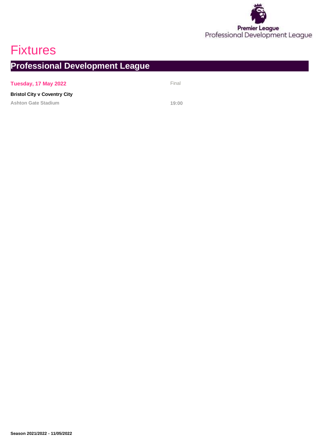

## **Fixtures**

**Professional Development League**

#### **Tuesday, 17 May 2022** Final

#### **Bristol City v Coventry City**

**Ashton Gate Stadium 19:00**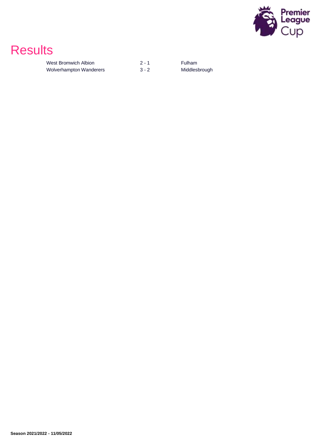

## **Results**

| West Bromwich Albion    | $2 - 1$ |
|-------------------------|---------|
| Wolverhampton Wanderers | $3 - 2$ |

Fulham Middlesbrough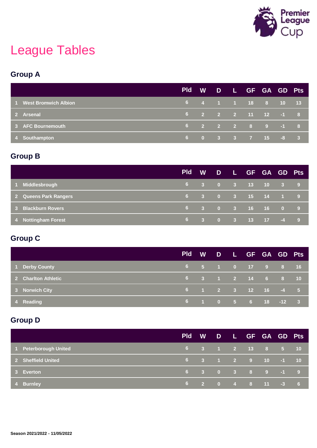

# League Tables

### **Group A**

|                        | <b>Pld</b> |  | W D L GF GA GD Pts                                                                |  |  |
|------------------------|------------|--|-----------------------------------------------------------------------------------|--|--|
| 1 West Bromwich Albion |            |  | $\begin{array}{ccccccccccccccccc}\n6 & 4 & 1 & 1 & 18 & 8 & 10 & 13\n\end{array}$ |  |  |
| 2 Arsenal              |            |  | 6 2 2 2 11 12 -1 8                                                                |  |  |
| 3 AFC Bournemouth      |            |  | $\begin{array}{ccccccccccccccccc} 6 & 2 & 2 & 2 & 8 & 9 & -1 & 8 \end{array}$     |  |  |
| 4 Southampton          |            |  | 6 0 3 3 7 15 -8 3                                                                 |  |  |

### **Group B**

|                         | <b>Pld</b> |  | W D L GF GA GD Pts                                                    |  |  |
|-------------------------|------------|--|-----------------------------------------------------------------------|--|--|
| Middlesbrough<br>$\sim$ |            |  | $\begin{array}{cccccccc} 6 & 3 & 0 & 3 & 13 & 10 & 3 & 9 \end{array}$ |  |  |
| 2 Queens Park Rangers   |            |  | 6 3 0 3 15 14 1 9                                                     |  |  |
| 3 Blackburn Rovers      |            |  | 6 3 0 3 16 16 0 9                                                     |  |  |
| 4 Nottingham Forest     | 6.         |  | 3 0 3 13 17 -4 9                                                      |  |  |

### **Group C**

|                     |  | <b>Pld</b> | W D L GF GA GD Pts |  |              |  |
|---------------------|--|------------|--------------------|--|--------------|--|
| 1 Derby County      |  |            | 6 5 1 0 17 9       |  | $8 \t3 \t16$ |  |
| 2 Charlton Athletic |  |            | 6 3 1 2 14 6 8 10  |  |              |  |
| 3 Norwich City      |  |            | 6 1 2 3 12 16 -4 5 |  |              |  |
| 4 Reading           |  |            | 6 1 0 5 6 18 -12 3 |  |              |  |

### **Group D**

|                       | <b>Pld</b> |  | W D L GF GA GD Pts                                                              |  |  |
|-----------------------|------------|--|---------------------------------------------------------------------------------|--|--|
| 1 Peterborough United |            |  | $\begin{array}{cccccccc} 6 & 3 & 1 & 2 & 13 & 8 & 5 & 10 \end{array}$           |  |  |
| 2 Sheffield United    |            |  | $\begin{array}{cccccccc} 6 & 3 & 1 & 2 & 9 & 10 & -1 & 10 \end{array}$          |  |  |
| 3 Everton             |            |  | $\begin{array}{ccccccccccccccccc}\n6 & 3 & 0 & 3 & 8 & 9 & -1 & 9\n\end{array}$ |  |  |
| 4 Burnley             |            |  | $\begin{array}{cccccccc} 6 & 2 & 0 & 4 & 8 & 11 & -3 & 6 \end{array}$           |  |  |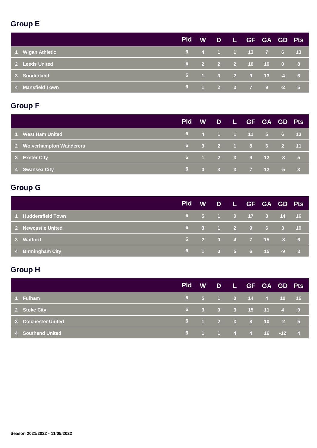### **Group E**

|                  | <b>Pld</b> |  | W D L GF GA GD Pts                                                    |  |  |
|------------------|------------|--|-----------------------------------------------------------------------|--|--|
| 1 Wigan Athletic |            |  | 6 4 1 1 13 7 6 13                                                     |  |  |
| 2 Leeds United   |            |  | 6 2 2 2 10 10 0 8                                                     |  |  |
| 3 Sunderland     |            |  | $\begin{array}{cccccccc} 6 & 1 & 3 & 2 & 9 & 13 & -4 & 6 \end{array}$ |  |  |
| 4 Mansfield Town |            |  | $-6$ 1 2 3 7 9 -2 5                                                   |  |  |

### **Group F**

|                           | <b>Pld</b> |  | W D L GF GA GD Pts                                                                          |  |  |
|---------------------------|------------|--|---------------------------------------------------------------------------------------------|--|--|
| 1 West Ham United         |            |  | $\begin{array}{cccccccc} 6 & 4 & 1 & 1 & \overline{11} & 5 & 6 & \overline{13} \end{array}$ |  |  |
| 2 Wolverhampton Wanderers |            |  | 6 3 2 1 8 6 2 11                                                                            |  |  |
| 3 Exeter City             |            |  | $\begin{array}{cccccccc} 6 & 1 & 2 & 3 & 9 & 12 & -3 & 5 \end{array}$                       |  |  |
| 4 Swansea City            |            |  | 6 0 3 3 7 12 -5 3                                                                           |  |  |

### **Group G**

|                     | <b>Pld</b> | <b>W</b> |  | D L GF GA GD Pts   |  |  |
|---------------------|------------|----------|--|--------------------|--|--|
| 1 Huddersfield Town |            |          |  | 6 5 1 0 17 3 14 16 |  |  |
| 2 Newcastle United  |            |          |  | 6 3 1 2 9 6 3 10   |  |  |
| 3 Watford           |            |          |  | 6 2 0 4 7 15 -8 6  |  |  |
| 4 Birmingham City   |            |          |  | 6 1 0 5 6 15 -9 3  |  |  |

### **Group H**

|                     | <b>Pld</b> | <b>W</b> |  | D L GF GA GD Pts                                                      |  |  |
|---------------------|------------|----------|--|-----------------------------------------------------------------------|--|--|
| 1 Fulham            |            |          |  | 6 5 1 0 14 4 10 16                                                    |  |  |
| 2 Stoke City        |            |          |  | 6 3 0 3 15 11 4 9                                                     |  |  |
| 3 Colchester United |            |          |  | $\begin{array}{cccccccc} 6 & 1 & 2 & 3 & 8 & 10 & -2 & 5 \end{array}$ |  |  |
| 4 Southend United   |            |          |  | $16$ 1 1 4 4 16 -12 4                                                 |  |  |